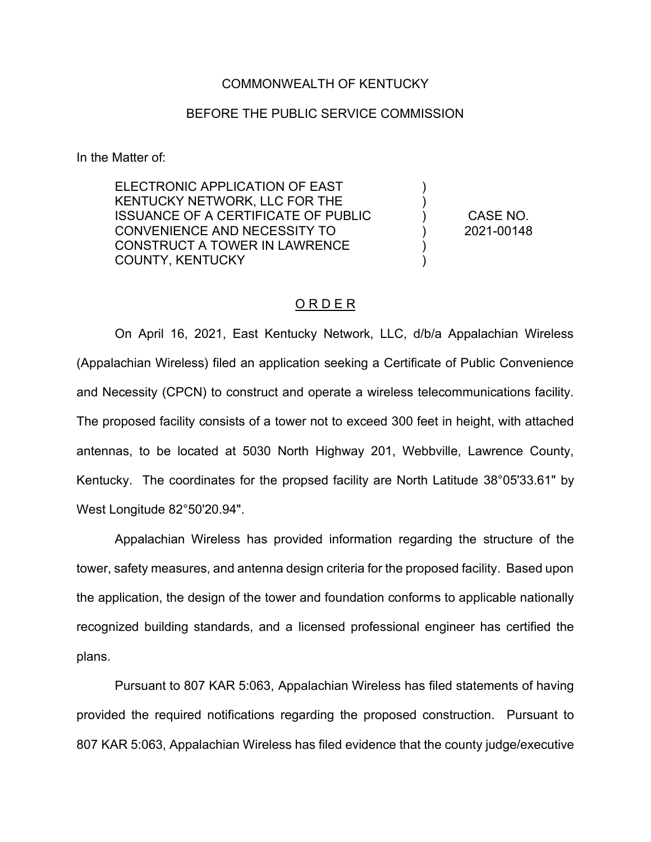## COMMONWEALTH OF KENTUCKY

## BEFORE THE PUBLIC SERVICE COMMISSION

In the Matter of:

ELECTRONIC APPLICATION OF EAST KENTUCKY NETWORK, LLC FOR THE ISSUANCE OF A CERTIFICATE OF PUBLIC CONVENIENCE AND NECESSITY TO CONSTRUCT A TOWER IN LAWRENCE COUNTY, KENTUCKY

CASE NO. 2021-00148

) ) ) ) ) )

## O R D E R

On April 16, 2021, East Kentucky Network, LLC, d/b/a Appalachian Wireless (Appalachian Wireless) filed an application seeking a Certificate of Public Convenience and Necessity (CPCN) to construct and operate a wireless telecommunications facility. The proposed facility consists of a tower not to exceed 300 feet in height, with attached antennas, to be located at 5030 North Highway 201, Webbville, Lawrence County, Kentucky. The coordinates for the propsed facility are North Latitude 38°05'33.61" by West Longitude 82°50'20.94".

Appalachian Wireless has provided information regarding the structure of the tower, safety measures, and antenna design criteria for the proposed facility. Based upon the application, the design of the tower and foundation conforms to applicable nationally recognized building standards, and a licensed professional engineer has certified the plans.

Pursuant to 807 KAR 5:063, Appalachian Wireless has filed statements of having provided the required notifications regarding the proposed construction. Pursuant to 807 KAR 5:063, Appalachian Wireless has filed evidence that the county judge/executive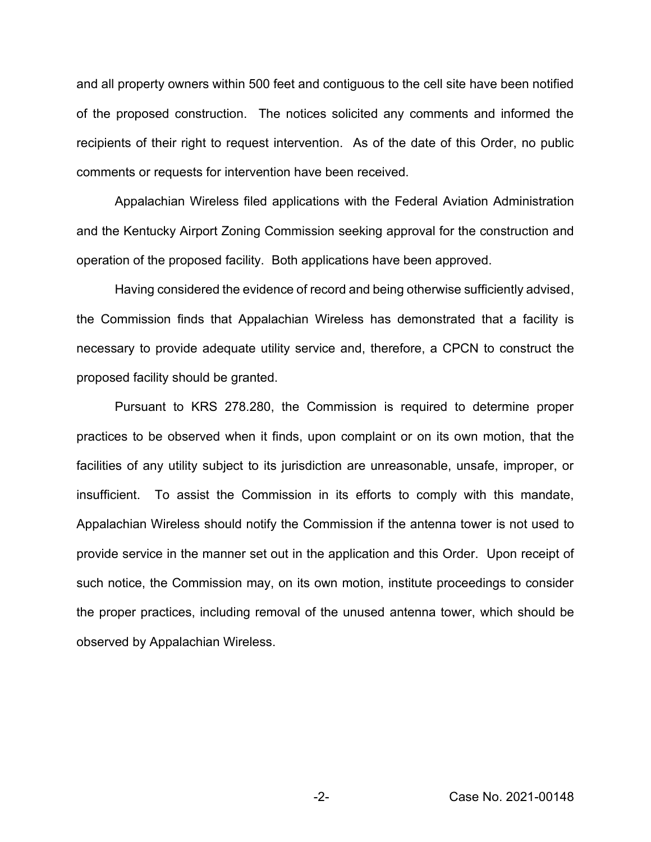and all property owners within 500 feet and contiguous to the cell site have been notified of the proposed construction. The notices solicited any comments and informed the recipients of their right to request intervention. As of the date of this Order, no public comments or requests for intervention have been received.

Appalachian Wireless filed applications with the Federal Aviation Administration and the Kentucky Airport Zoning Commission seeking approval for the construction and operation of the proposed facility. Both applications have been approved.

Having considered the evidence of record and being otherwise sufficiently advised, the Commission finds that Appalachian Wireless has demonstrated that a facility is necessary to provide adequate utility service and, therefore, a CPCN to construct the proposed facility should be granted.

Pursuant to KRS 278.280, the Commission is required to determine proper practices to be observed when it finds, upon complaint or on its own motion, that the facilities of any utility subject to its jurisdiction are unreasonable, unsafe, improper, or insufficient. To assist the Commission in its efforts to comply with this mandate, Appalachian Wireless should notify the Commission if the antenna tower is not used to provide service in the manner set out in the application and this Order. Upon receipt of such notice, the Commission may, on its own motion, institute proceedings to consider the proper practices, including removal of the unused antenna tower, which should be observed by Appalachian Wireless.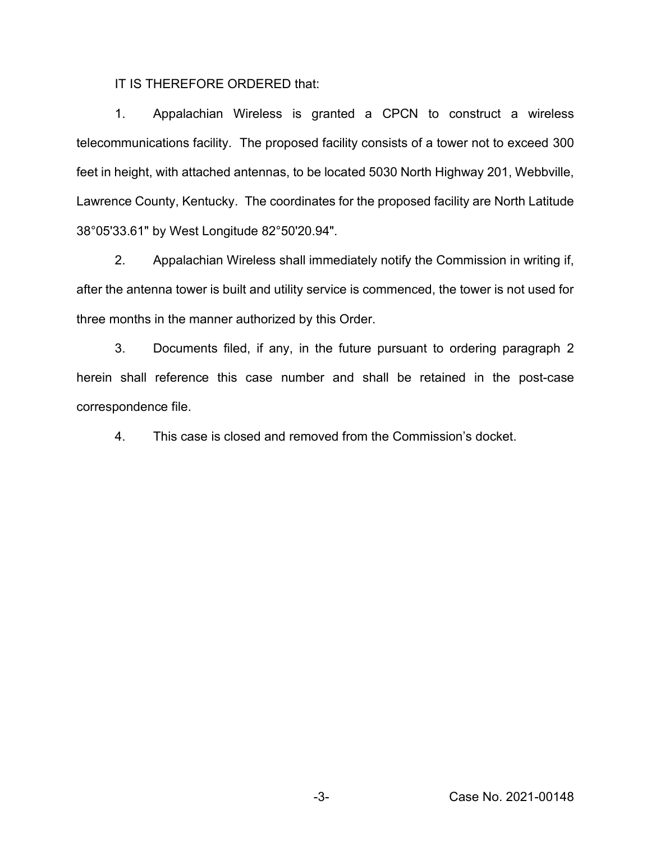IT IS THEREFORE ORDERED that:

1. Appalachian Wireless is granted a CPCN to construct a wireless telecommunications facility. The proposed facility consists of a tower not to exceed 300 feet in height, with attached antennas, to be located 5030 North Highway 201, Webbville, Lawrence County, Kentucky. The coordinates for the proposed facility are North Latitude 38°05'33.61" by West Longitude 82°50'20.94".

2. Appalachian Wireless shall immediately notify the Commission in writing if, after the antenna tower is built and utility service is commenced, the tower is not used for three months in the manner authorized by this Order.

3. Documents filed, if any, in the future pursuant to ordering paragraph 2 herein shall reference this case number and shall be retained in the post-case correspondence file.

4. This case is closed and removed from the Commission's docket.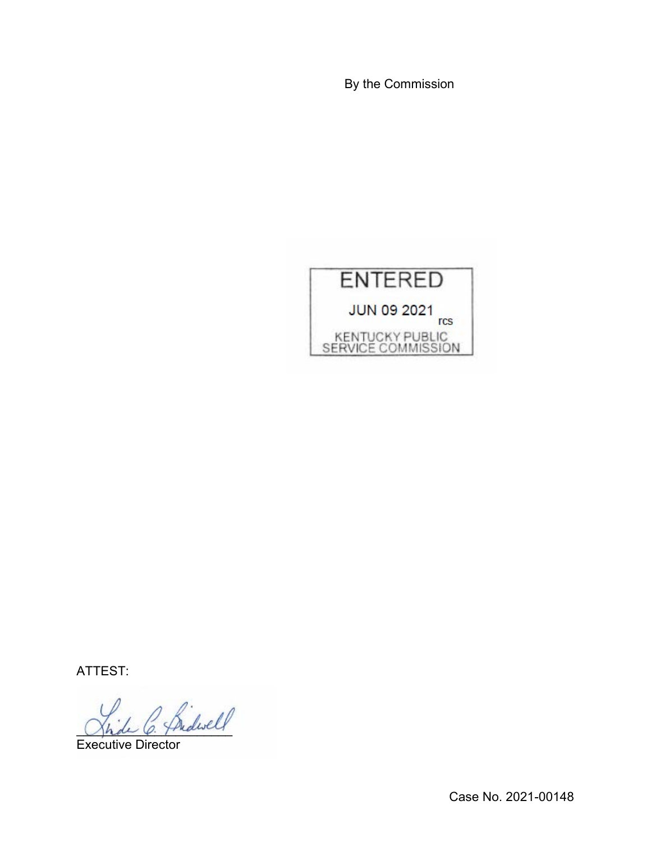By the Commission



ATTEST:

 $^{\prime}$  fridwell

Executive Director

Case No. 2021-00148